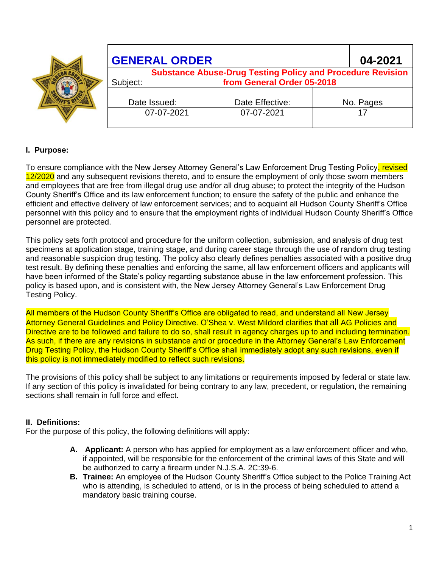|  | <b>GENERAL ORDER</b>                                                                                        |                 |  | 04-2021   |
|--|-------------------------------------------------------------------------------------------------------------|-----------------|--|-----------|
|  | <b>Substance Abuse-Drug Testing Policy and Procedure Revision</b><br>from General Order 05-2018<br>Subject: |                 |  |           |
|  | Date Issued:                                                                                                | Date Effective: |  | No. Pages |
|  | 07-07-2021                                                                                                  | 07-07-2021      |  |           |

# **I. Purpose:**

To ensure compliance with the New Jersey Attorney General's Law Enforcement Drug Testing Policy, revised 12/2020 and any subsequent revisions thereto, and to ensure the employment of only those sworn members and employees that are free from illegal drug use and/or all drug abuse; to protect the integrity of the Hudson County Sheriff's Office and its law enforcement function; to ensure the safety of the public and enhance the efficient and effective delivery of law enforcement services; and to acquaint all Hudson County Sheriff's Office personnel with this policy and to ensure that the employment rights of individual Hudson County Sheriff's Office personnel are protected.

This policy sets forth protocol and procedure for the uniform collection, submission, and analysis of drug test specimens at application stage, training stage, and during career stage through the use of random drug testing and reasonable suspicion drug testing. The policy also clearly defines penalties associated with a positive drug test result. By defining these penalties and enforcing the same, all law enforcement officers and applicants will have been informed of the State's policy regarding substance abuse in the law enforcement profession. This policy is based upon, and is consistent with, the New Jersey Attorney General's Law Enforcement Drug Testing Policy.

All members of the Hudson County Sheriff's Office are obligated to read, and understand all New Jersey Attorney General Guidelines and Policy Directive. O'Shea v. West Mildord clarifies that all AG Policies and Directive are to be followed and failure to do so, shall result in agency charges up to and including termination. As such, if there are any revisions in substance and or procedure in the Attorney General's Law Enforcement Drug Testing Policy, the Hudson County Sheriff's Office shall immediately adopt any such revisions, even if this policy is not immediately modified to reflect such revisions.

The provisions of this policy shall be subject to any limitations or requirements imposed by federal or state law. If any section of this policy is invalidated for being contrary to any law, precedent, or regulation, the remaining sections shall remain in full force and effect.

# **II. Definitions:**

For the purpose of this policy, the following definitions will apply:

- **A. Applicant:** A person who has applied for employment as a law enforcement officer and who, if appointed, will be responsible for the enforcement of the criminal laws of this State and will be authorized to carry a firearm under N.J.S.A. 2C:39-6.
- **B. Trainee:** An employee of the Hudson County Sheriff's Office subject to the Police Training Act who is attending, is scheduled to attend, or is in the process of being scheduled to attend a mandatory basic training course.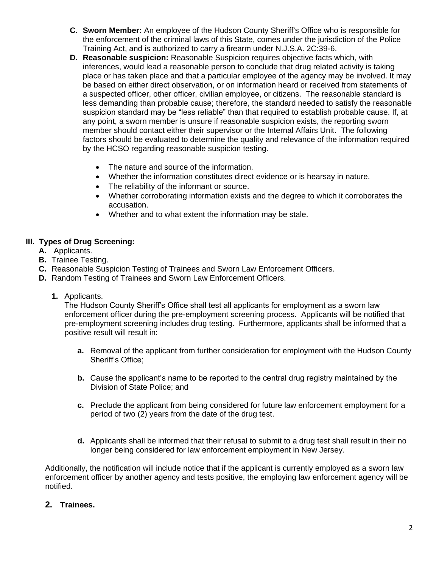- **C. Sworn Member:** An employee of the Hudson County Sheriff's Office who is responsible for the enforcement of the criminal laws of this State, comes under the jurisdiction of the Police Training Act, and is authorized to carry a firearm under N.J.S.A. 2C:39-6.
- **D. Reasonable suspicion:** Reasonable Suspicion requires objective facts which, with inferences, would lead a reasonable person to conclude that drug related activity is taking place or has taken place and that a particular employee of the agency may be involved. It may be based on either direct observation, or on information heard or received from statements of a suspected officer, other officer, civilian employee, or citizens. The reasonable standard is less demanding than probable cause; therefore, the standard needed to satisfy the reasonable suspicion standard may be "less reliable" than that required to establish probable cause. If, at any point, a sworn member is unsure if reasonable suspicion exists, the reporting sworn member should contact either their supervisor or the Internal Affairs Unit. The following factors should be evaluated to determine the quality and relevance of the information required by the HCSO regarding reasonable suspicion testing.
	- The nature and source of the information.
	- Whether the information constitutes direct evidence or is hearsay in nature.
	- The reliability of the informant or source.
	- Whether corroborating information exists and the degree to which it corroborates the accusation.
	- Whether and to what extent the information may be stale.

## **III. Types of Drug Screening:**

- **A.** Applicants.
- **B.** Trainee Testing.
- **C.** Reasonable Suspicion Testing of Trainees and Sworn Law Enforcement Officers.
- **D.** Random Testing of Trainees and Sworn Law Enforcement Officers.
	- **1.** Applicants.

The Hudson County Sheriff's Office shall test all applicants for employment as a sworn law enforcement officer during the pre-employment screening process. Applicants will be notified that pre-employment screening includes drug testing. Furthermore, applicants shall be informed that a positive result will result in:

- **a.** Removal of the applicant from further consideration for employment with the Hudson County Sheriff's Office;
- **b.** Cause the applicant's name to be reported to the central drug registry maintained by the Division of State Police; and
- **c.** Preclude the applicant from being considered for future law enforcement employment for a period of two (2) years from the date of the drug test.
- **d.** Applicants shall be informed that their refusal to submit to a drug test shall result in their no longer being considered for law enforcement employment in New Jersey.

Additionally, the notification will include notice that if the applicant is currently employed as a sworn law enforcement officer by another agency and tests positive, the employing law enforcement agency will be notified.

**2. Trainees.**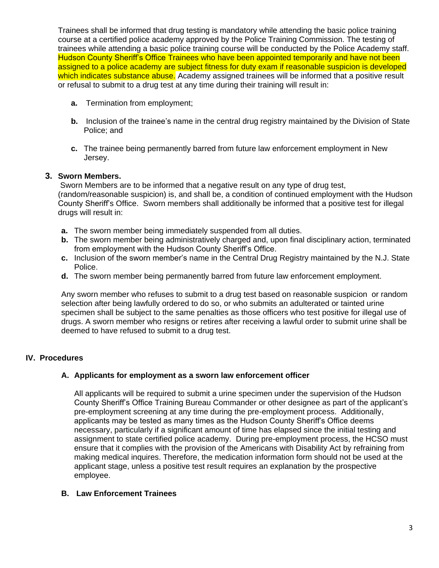Trainees shall be informed that drug testing is mandatory while attending the basic police training course at a certified police academy approved by the Police Training Commission. The testing of trainees while attending a basic police training course will be conducted by the Police Academy staff. Hudson County Sheriff's Office Trainees who have been appointed temporarily and have not been assigned to a police academy are subject fitness for duty exam if reasonable suspicion is developed which indicates substance abuse. Academy assigned trainees will be informed that a positive result or refusal to submit to a drug test at any time during their training will result in:

- **a.** Termination from employment;
- **b.** Inclusion of the trainee's name in the central drug registry maintained by the Division of State Police; and
- **c.** The trainee being permanently barred from future law enforcement employment in New Jersey.

## **3. Sworn Members.**

Sworn Members are to be informed that a negative result on any type of drug test, (random/reasonable suspicion) is, and shall be, a condition of continued employment with the Hudson County Sheriff's Office. Sworn members shall additionally be informed that a positive test for illegal drugs will result in:

- **a.** The sworn member being immediately suspended from all duties.
- **b.** The sworn member being administratively charged and, upon final disciplinary action, terminated from employment with the Hudson County Sheriff's Office.
- **c.** Inclusion of the sworn member's name in the Central Drug Registry maintained by the N.J. State Police.
- **d.** The sworn member being permanently barred from future law enforcement employment.

Any sworn member who refuses to submit to a drug test based on reasonable suspicion or random selection after being lawfully ordered to do so, or who submits an adulterated or tainted urine specimen shall be subject to the same penalties as those officers who test positive for illegal use of drugs. A sworn member who resigns or retires after receiving a lawful order to submit urine shall be deemed to have refused to submit to a drug test.

## **IV. Procedures**

## **A. Applicants for employment as a sworn law enforcement officer**

All applicants will be required to submit a urine specimen under the supervision of the Hudson County Sheriff's Office Training Bureau Commander or other designee as part of the applicant's pre-employment screening at any time during the pre-employment process. Additionally, applicants may be tested as many times as the Hudson County Sheriff's Office deems necessary, particularly if a significant amount of time has elapsed since the initial testing and assignment to state certified police academy. During pre-employment process, the HCSO must ensure that it complies with the provision of the Americans with Disability Act by refraining from making medical inquires. Therefore, the medication information form should not be used at the applicant stage, unless a positive test result requires an explanation by the prospective employee.

## **B. Law Enforcement Trainees**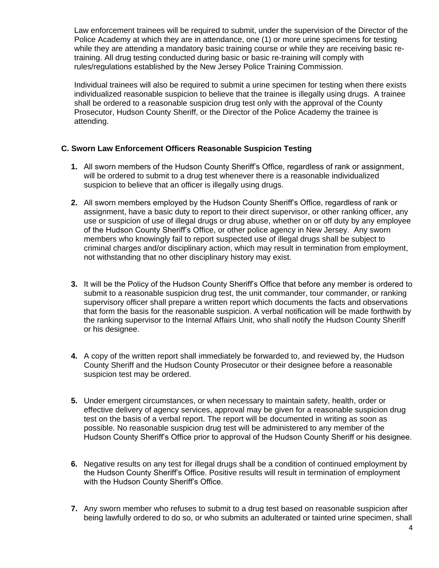Law enforcement trainees will be required to submit, under the supervision of the Director of the Police Academy at which they are in attendance, one (1) or more urine specimens for testing while they are attending a mandatory basic training course or while they are receiving basic retraining. All drug testing conducted during basic or basic re-training will comply with rules/regulations established by the New Jersey Police Training Commission.

Individual trainees will also be required to submit a urine specimen for testing when there exists individualized reasonable suspicion to believe that the trainee is illegally using drugs. A trainee shall be ordered to a reasonable suspicion drug test only with the approval of the County Prosecutor, Hudson County Sheriff, or the Director of the Police Academy the trainee is attending.

## **C. Sworn Law Enforcement Officers Reasonable Suspicion Testing**

- **1.** All sworn members of the Hudson County Sheriff's Office, regardless of rank or assignment, will be ordered to submit to a drug test whenever there is a reasonable individualized suspicion to believe that an officer is illegally using drugs.
- **2.** All sworn members employed by the Hudson County Sheriff's Office, regardless of rank or assignment, have a basic duty to report to their direct supervisor, or other ranking officer, any use or suspicion of use of illegal drugs or drug abuse, whether on or off duty by any employee of the Hudson County Sheriff's Office, or other police agency in New Jersey. Any sworn members who knowingly fail to report suspected use of illegal drugs shall be subject to criminal charges and/or disciplinary action, which may result in termination from employment, not withstanding that no other disciplinary history may exist.
- **3.** It will be the Policy of the Hudson County Sheriff's Office that before any member is ordered to submit to a reasonable suspicion drug test, the unit commander, tour commander, or ranking supervisory officer shall prepare a written report which documents the facts and observations that form the basis for the reasonable suspicion. A verbal notification will be made forthwith by the ranking supervisor to the Internal Affairs Unit, who shall notify the Hudson County Sheriff or his designee.
- **4.** A copy of the written report shall immediately be forwarded to, and reviewed by, the Hudson County Sheriff and the Hudson County Prosecutor or their designee before a reasonable suspicion test may be ordered.
- **5.** Under emergent circumstances, or when necessary to maintain safety, health, order or effective delivery of agency services, approval may be given for a reasonable suspicion drug test on the basis of a verbal report. The report will be documented in writing as soon as possible. No reasonable suspicion drug test will be administered to any member of the Hudson County Sheriff's Office prior to approval of the Hudson County Sheriff or his designee.
- **6.** Negative results on any test for illegal drugs shall be a condition of continued employment by the Hudson County Sheriff's Office. Positive results will result in termination of employment with the Hudson County Sheriff's Office.
- **7.** Any sworn member who refuses to submit to a drug test based on reasonable suspicion after being lawfully ordered to do so, or who submits an adulterated or tainted urine specimen, shall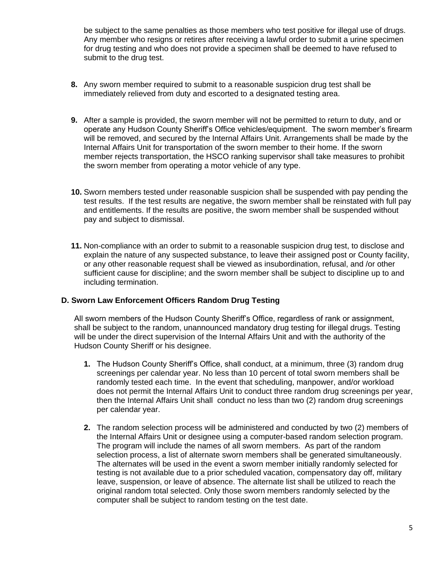be subject to the same penalties as those members who test positive for illegal use of drugs. Any member who resigns or retires after receiving a lawful order to submit a urine specimen for drug testing and who does not provide a specimen shall be deemed to have refused to submit to the drug test.

- **8.** Any sworn member required to submit to a reasonable suspicion drug test shall be immediately relieved from duty and escorted to a designated testing area.
- **9.** After a sample is provided, the sworn member will not be permitted to return to duty, and or operate any Hudson County Sheriff's Office vehicles/equipment. The sworn member's firearm will be removed, and secured by the Internal Affairs Unit. Arrangements shall be made by the Internal Affairs Unit for transportation of the sworn member to their home. If the sworn member rejects transportation, the HSCO ranking supervisor shall take measures to prohibit the sworn member from operating a motor vehicle of any type.
- **10.** Sworn members tested under reasonable suspicion shall be suspended with pay pending the test results. If the test results are negative, the sworn member shall be reinstated with full pay and entitlements. If the results are positive, the sworn member shall be suspended without pay and subject to dismissal.
- **11.** Non-compliance with an order to submit to a reasonable suspicion drug test, to disclose and explain the nature of any suspected substance, to leave their assigned post or County facility, or any other reasonable request shall be viewed as insubordination, refusal, and /or other sufficient cause for discipline; and the sworn member shall be subject to discipline up to and including termination.

## **D. Sworn Law Enforcement Officers Random Drug Testing**

All sworn members of the Hudson County Sheriff's Office, regardless of rank or assignment, shall be subject to the random, unannounced mandatory drug testing for illegal drugs. Testing will be under the direct supervision of the Internal Affairs Unit and with the authority of the Hudson County Sheriff or his designee.

- **1.** The Hudson County Sheriff's Office, shall conduct, at a minimum, three (3) random drug screenings per calendar year. No less than 10 percent of total sworn members shall be randomly tested each time. In the event that scheduling, manpower, and/or workload does not permit the Internal Affairs Unit to conduct three random drug screenings per year, then the Internal Affairs Unit shall conduct no less than two (2) random drug screenings per calendar year.
- **2.** The random selection process will be administered and conducted by two (2) members of the Internal Affairs Unit or designee using a computer-based random selection program. The program will include the names of all sworn members. As part of the random selection process, a list of alternate sworn members shall be generated simultaneously. The alternates will be used in the event a sworn member initially randomly selected for testing is not available due to a prior scheduled vacation, compensatory day off, military leave, suspension, or leave of absence. The alternate list shall be utilized to reach the original random total selected. Only those sworn members randomly selected by the computer shall be subject to random testing on the test date.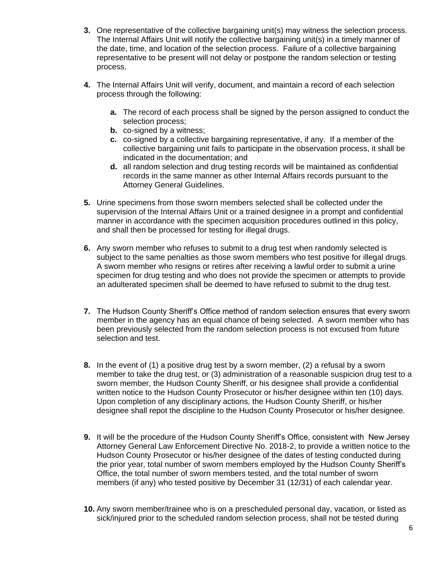- **3.** One representative of the collective bargaining unit(s) may witness the selection process. The Internal Affairs Unit will notify the collective bargaining unit(s) in a timely manner of the date, time, and location of the selection process. Failure of a collective bargaining representative to be present will not delay or postpone the random selection or testing process.
- **4.** The Internal Affairs Unit will verify, document, and maintain a record of each selection process through the following:
	- **a.** The record of each process shall be signed by the person assigned to conduct the selection process;
	- **b.** co-signed by a witness;
	- **c.** co-signed by a collective bargaining representative, if any. If a member of the collective bargaining unit fails to participate in the observation process, it shall be indicated in the documentation; and
	- **d.** all random selection and drug testing records will be maintained as confidential records in the same manner as other Internal Affairs records pursuant to the Attorney General Guidelines.
- **5.** Urine specimens from those sworn members selected shall be collected under the supervision of the Internal Affairs Unit or a trained designee in a prompt and confidential manner in accordance with the specimen acquisition procedures outlined in this policy, and shall then be processed for testing for illegal drugs.
- **6.** Any sworn member who refuses to submit to a drug test when randomly selected is subject to the same penalties as those sworn members who test positive for illegal drugs. A sworn member who resigns or retires after receiving a lawful order to submit a urine specimen for drug testing and who does not provide the specimen or attempts to provide an adulterated specimen shall be deemed to have refused to submit to the drug test.
- **7.** The Hudson County Sheriff's Office method of random selection ensures that every sworn member in the agency has an equal chance of being selected. A sworn member who has been previously selected from the random selection process is not excused from future selection and test.
- **8.** In the event of (1) a positive drug test by a sworn member, (2) a refusal by a sworn member to take the drug test, or (3) administration of a reasonable suspicion drug test to a sworn member, the Hudson County Sheriff, or his designee shall provide a confidential written notice to the Hudson County Prosecutor or his/her designee within ten (10) days. Upon completion of any disciplinary actions, the Hudson County Sheriff, or his/her designee shall repot the discipline to the Hudson County Prosecutor or his/her designee.
- **9.** It will be the procedure of the Hudson County Sheriff's Office, consistent with New Jersey Attorney General Law Enforcement Directive No. 2018-2, to provide a written notice to the Hudson County Prosecutor or his/her designee of the dates of testing conducted during the prior year, total number of sworn members employed by the Hudson County Sheriff's Office, the total number of sworn members tested, and the total number of sworn members (if any) who tested positive by December 31 (12/31) of each calendar year.
- **10.** Any sworn member/trainee who is on a prescheduled personal day, vacation, or listed as sick/injured prior to the scheduled random selection process, shall not be tested during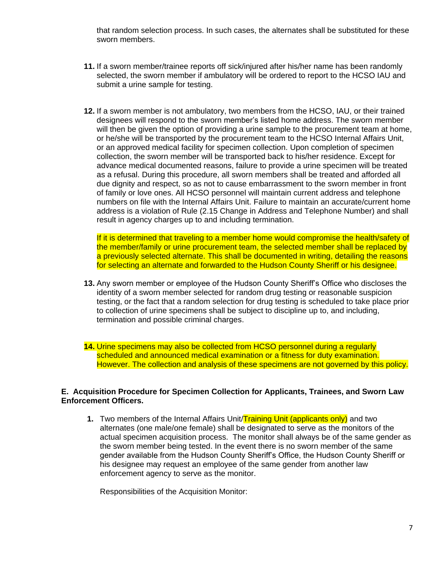that random selection process. In such cases, the alternates shall be substituted for these sworn members.

- **11.** If a sworn member/trainee reports off sick/injured after his/her name has been randomly selected, the sworn member if ambulatory will be ordered to report to the HCSO IAU and submit a urine sample for testing.
- **12.** If a sworn member is not ambulatory, two members from the HCSO, IAU, or their trained designees will respond to the sworn member's listed home address. The sworn member will then be given the option of providing a urine sample to the procurement team at home, or he/she will be transported by the procurement team to the HCSO Internal Affairs Unit, or an approved medical facility for specimen collection. Upon completion of specimen collection, the sworn member will be transported back to his/her residence. Except for advance medical documented reasons, failure to provide a urine specimen will be treated as a refusal. During this procedure, all sworn members shall be treated and afforded all due dignity and respect, so as not to cause embarrassment to the sworn member in front of family or love ones. All HCSO personnel will maintain current address and telephone numbers on file with the Internal Affairs Unit. Failure to maintain an accurate/current home address is a violation of Rule (2.15 Change in Address and Telephone Number) and shall result in agency charges up to and including termination.

If it is determined that traveling to a member home would compromise the health/safety of the member/family or urine procurement team, the selected member shall be replaced by a previously selected alternate. This shall be documented in writing, detailing the reasons for selecting an alternate and forwarded to the Hudson County Sheriff or his designee.

**13.** Any sworn member or employee of the Hudson County Sheriff's Office who discloses the identity of a sworn member selected for random drug testing or reasonable suspicion testing, or the fact that a random selection for drug testing is scheduled to take place prior to collection of urine specimens shall be subject to discipline up to, and including, termination and possible criminal charges.

**14.** Urine specimens may also be collected from HCSO personnel during a regularly scheduled and announced medical examination or a fitness for duty examination. However. The collection and analysis of these specimens are not governed by this policy.

### **E. Acquisition Procedure for Specimen Collection for Applicants, Trainees, and Sworn Law Enforcement Officers.**

**1.** Two members of the Internal Affairs Unit/Training Unit (applicants only) and two alternates (one male/one female) shall be designated to serve as the monitors of the actual specimen acquisition process. The monitor shall always be of the same gender as the sworn member being tested. In the event there is no sworn member of the same gender available from the Hudson County Sheriff's Office, the Hudson County Sheriff or his designee may request an employee of the same gender from another law enforcement agency to serve as the monitor.

Responsibilities of the Acquisition Monitor: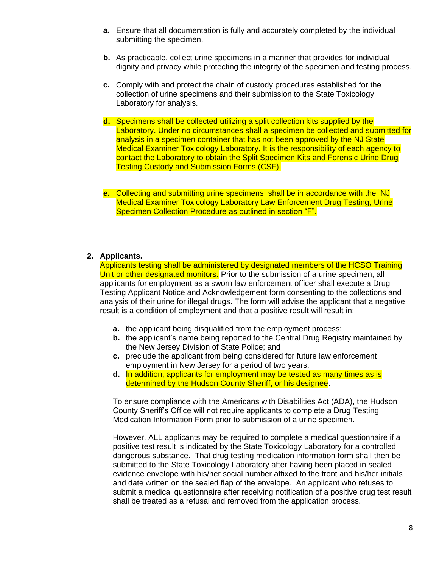- **a.** Ensure that all documentation is fully and accurately completed by the individual submitting the specimen.
- **b.** As practicable, collect urine specimens in a manner that provides for individual dignity and privacy while protecting the integrity of the specimen and testing process.
- **c.** Comply with and protect the chain of custody procedures established for the collection of urine specimens and their submission to the State Toxicology Laboratory for analysis.
- **d.** Specimens shall be collected utilizing a split collection kits supplied by the Laboratory. Under no circumstances shall a specimen be collected and submitted for analysis in a specimen container that has not been approved by the NJ State Medical Examiner Toxicology Laboratory. It is the responsibility of each agency to contact the Laboratory to obtain the Split Specimen Kits and Forensic Urine Drug Testing Custody and Submission Forms (CSF).
- **e.** Collecting and submitting urine specimens shall be in accordance with the NJ Medical Examiner Toxicology Laboratory Law Enforcement Drug Testing, Urine Specimen Collection Procedure as outlined in section "F".

#### **2. Applicants.**

Applicants testing shall be administered by designated members of the HCSO Training Unit or other designated monitors. Prior to the submission of a urine specimen, all applicants for employment as a sworn law enforcement officer shall execute a Drug Testing Applicant Notice and Acknowledgement form consenting to the collections and analysis of their urine for illegal drugs. The form will advise the applicant that a negative result is a condition of employment and that a positive result will result in:

- **a.** the applicant being disqualified from the employment process;
- **b.** the applicant's name being reported to the Central Drug Registry maintained by the New Jersey Division of State Police; and
- **c.** preclude the applicant from being considered for future law enforcement employment in New Jersey for a period of two years.
- **d.** In addition, applicants for employment may be tested as many times as is determined by the Hudson County Sheriff, or his designee.

To ensure compliance with the Americans with Disabilities Act (ADA), the Hudson County Sheriff's Office will not require applicants to complete a Drug Testing Medication Information Form prior to submission of a urine specimen.

However, ALL applicants may be required to complete a medical questionnaire if a positive test result is indicated by the State Toxicology Laboratory for a controlled dangerous substance. That drug testing medication information form shall then be submitted to the State Toxicology Laboratory after having been placed in sealed evidence envelope with his/her social number affixed to the front and his/her initials and date written on the sealed flap of the envelope. An applicant who refuses to submit a medical questionnaire after receiving notification of a positive drug test result shall be treated as a refusal and removed from the application process.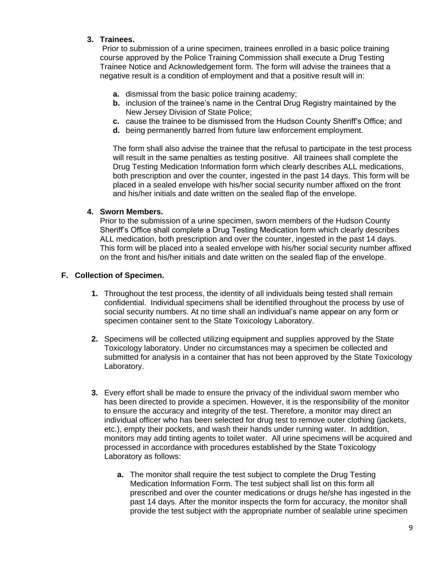## **3. Trainees.**

Prior to submission of a urine specimen, trainees enrolled in a basic police training course approved by the Police Training Commission shall execute a Drug Testing Trainee Notice and Acknowledgement form. The form will advise the trainees that a negative result is a condition of employment and that a positive result will in:

- **a.** dismissal from the basic police training academy;
- **b.** inclusion of the trainee's name in the Central Drug Registry maintained by the New Jersey Division of State Police;
- **c.** cause the trainee to be dismissed from the Hudson County Sheriff's Office; and
- **d.** being permanently barred from future law enforcement employment.

The form shall also advise the trainee that the refusal to participate in the test process will result in the same penalties as testing positive. All trainees shall complete the Drug Testing Medication Information form which clearly describes ALL medications, both prescription and over the counter, ingested in the past 14 days. This form will be placed in a sealed envelope with his/her social security number affixed on the front and his/her initials and date written on the sealed flap of the envelope.

## **4. Sworn Members.**

Prior to the submission of a urine specimen, sworn members of the Hudson County Sheriff's Office shall complete a Drug Testing Medication form which clearly describes ALL medication, both prescription and over the counter, ingested in the past 14 days. This form will be placed into a sealed envelope with his/her social security number affixed on the front and his/her initials and date written on the sealed flap of the envelope.

### **F. Collection of Specimen.**

- **1.** Throughout the test process, the identity of all individuals being tested shall remain confidential. Individual specimens shall be identified throughout the process by use of social security numbers. At no time shall an individual's name appear on any form or specimen container sent to the State Toxicology Laboratory.
- **2.** Specimens will be collected utilizing equipment and supplies approved by the State Toxicology laboratory. Under no circumstances may a specimen be collected and submitted for analysis in a container that has not been approved by the State Toxicology Laboratory.
- **3.** Every effort shall be made to ensure the privacy of the individual sworn member who has been directed to provide a specimen. However, it is the responsibility of the monitor to ensure the accuracy and integrity of the test. Therefore, a monitor may direct an individual officer who has been selected for drug test to remove outer clothing (jackets, etc.), empty their pockets, and wash their hands under running water. In addition, monitors may add tinting agents to toilet water. All urine specimens will be acquired and processed in accordance with procedures established by the State Toxicology Laboratory as follows:
	- **a.** The monitor shall require the test subject to complete the Drug Testing Medication Information Form. The test subject shall list on this form all prescribed and over the counter medications or drugs he/she has ingested in the past 14 days. After the monitor inspects the form for accuracy, the monitor shall provide the test subject with the appropriate number of sealable urine specimen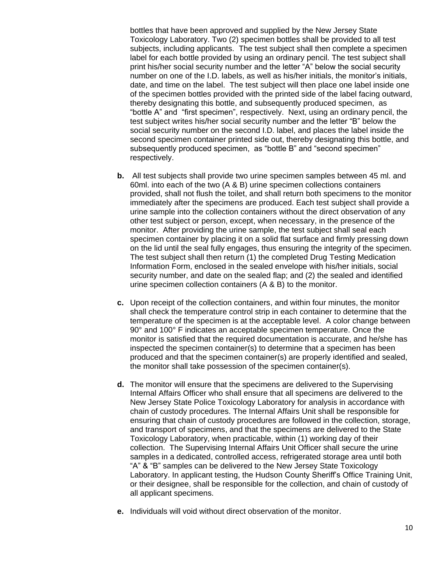bottles that have been approved and supplied by the New Jersey State Toxicology Laboratory. Two (2) specimen bottles shall be provided to all test subjects, including applicants. The test subject shall then complete a specimen label for each bottle provided by using an ordinary pencil. The test subject shall print his/her social security number and the letter "A" below the social security number on one of the I.D. labels, as well as his/her initials, the monitor's initials, date, and time on the label. The test subject will then place one label inside one of the specimen bottles provided with the printed side of the label facing outward, thereby designating this bottle, and subsequently produced specimen, as "bottle A" and "first specimen", respectively. Next, using an ordinary pencil, the test subject writes his/her social security number and the letter "B" below the social security number on the second I.D. label, and places the label inside the second specimen container printed side out, thereby designating this bottle, and subsequently produced specimen, as "bottle B" and "second specimen" respectively.

- **b.** All test subjects shall provide two urine specimen samples between 45 ml. and 60ml. into each of the two (A & B) urine specimen collections containers provided, shall not flush the toilet, and shall return both specimens to the monitor immediately after the specimens are produced. Each test subject shall provide a urine sample into the collection containers without the direct observation of any other test subject or person, except, when necessary, in the presence of the monitor. After providing the urine sample, the test subject shall seal each specimen container by placing it on a solid flat surface and firmly pressing down on the lid until the seal fully engages, thus ensuring the integrity of the specimen. The test subject shall then return (1) the completed Drug Testing Medication Information Form, enclosed in the sealed envelope with his/her initials, social security number, and date on the sealed flap; and (2) the sealed and identified urine specimen collection containers (A & B) to the monitor.
- **c.** Upon receipt of the collection containers, and within four minutes, the monitor shall check the temperature control strip in each container to determine that the temperature of the specimen is at the acceptable level. A color change between 90° and 100° F indicates an acceptable specimen temperature. Once the monitor is satisfied that the required documentation is accurate, and he/she has inspected the specimen container(s) to determine that a specimen has been produced and that the specimen container(s) are properly identified and sealed, the monitor shall take possession of the specimen container(s).
- **d.** The monitor will ensure that the specimens are delivered to the Supervising Internal Affairs Officer who shall ensure that all specimens are delivered to the New Jersey State Police Toxicology Laboratory for analysis in accordance with chain of custody procedures. The Internal Affairs Unit shall be responsible for ensuring that chain of custody procedures are followed in the collection, storage, and transport of specimens, and that the specimens are delivered to the State Toxicology Laboratory, when practicable, within (1) working day of their collection. The Supervising Internal Affairs Unit Officer shall secure the urine samples in a dedicated, controlled access, refrigerated storage area until both "A" & "B" samples can be delivered to the New Jersey State Toxicology Laboratory. In applicant testing, the Hudson County Sheriff's Office Training Unit, or their designee, shall be responsible for the collection, and chain of custody of all applicant specimens.
- **e.** Individuals will void without direct observation of the monitor.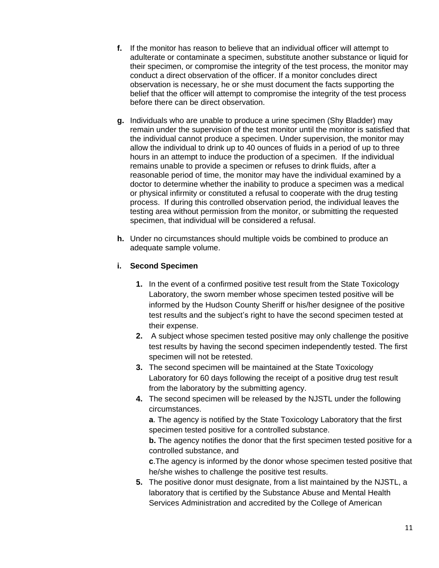- **f.** If the monitor has reason to believe that an individual officer will attempt to adulterate or contaminate a specimen, substitute another substance or liquid for their specimen, or compromise the integrity of the test process, the monitor may conduct a direct observation of the officer. If a monitor concludes direct observation is necessary, he or she must document the facts supporting the belief that the officer will attempt to compromise the integrity of the test process before there can be direct observation.
- **g.** Individuals who are unable to produce a urine specimen (Shy Bladder) may remain under the supervision of the test monitor until the monitor is satisfied that the individual cannot produce a specimen. Under supervision, the monitor may allow the individual to drink up to 40 ounces of fluids in a period of up to three hours in an attempt to induce the production of a specimen. If the individual remains unable to provide a specimen or refuses to drink fluids, after a reasonable period of time, the monitor may have the individual examined by a doctor to determine whether the inability to produce a specimen was a medical or physical infirmity or constituted a refusal to cooperate with the drug testing process. If during this controlled observation period, the individual leaves the testing area without permission from the monitor, or submitting the requested specimen, that individual will be considered a refusal.
- **h.** Under no circumstances should multiple voids be combined to produce an adequate sample volume.

## **i. Second Specimen**

- **1.** In the event of a confirmed positive test result from the State Toxicology Laboratory, the sworn member whose specimen tested positive will be informed by the Hudson County Sheriff or his/her designee of the positive test results and the subject's right to have the second specimen tested at their expense.
- **2.** A subject whose specimen tested positive may only challenge the positive test results by having the second specimen independently tested. The first specimen will not be retested.
- **3.** The second specimen will be maintained at the State Toxicology Laboratory for 60 days following the receipt of a positive drug test result from the laboratory by the submitting agency.
- **4.** The second specimen will be released by the NJSTL under the following circumstances.

**a**. The agency is notified by the State Toxicology Laboratory that the first specimen tested positive for a controlled substance.

**b.** The agency notifies the donor that the first specimen tested positive for a controlled substance, and

**c**.The agency is informed by the donor whose specimen tested positive that he/she wishes to challenge the positive test results.

**5.** The positive donor must designate, from a list maintained by the NJSTL, a laboratory that is certified by the Substance Abuse and Mental Health Services Administration and accredited by the College of American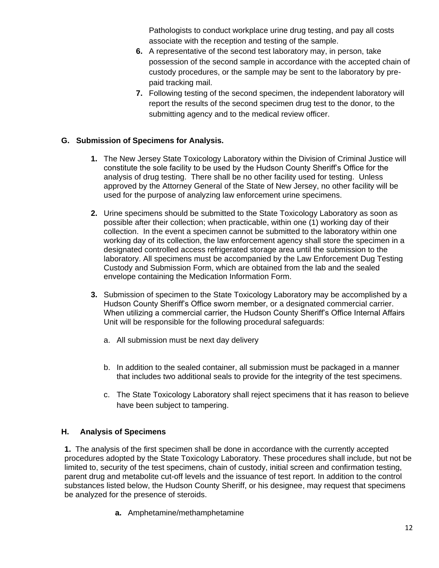Pathologists to conduct workplace urine drug testing, and pay all costs associate with the reception and testing of the sample.

- **6.** A representative of the second test laboratory may, in person, take possession of the second sample in accordance with the accepted chain of custody procedures, or the sample may be sent to the laboratory by prepaid tracking mail.
- **7.** Following testing of the second specimen, the independent laboratory will report the results of the second specimen drug test to the donor, to the submitting agency and to the medical review officer.

# **G. Submission of Specimens for Analysis.**

- **1.** The New Jersey State Toxicology Laboratory within the Division of Criminal Justice will constitute the sole facility to be used by the Hudson County Sheriff's Office for the analysis of drug testing. There shall be no other facility used for testing. Unless approved by the Attorney General of the State of New Jersey, no other facility will be used for the purpose of analyzing law enforcement urine specimens.
- **2.** Urine specimens should be submitted to the State Toxicology Laboratory as soon as possible after their collection; when practicable, within one (1) working day of their collection. In the event a specimen cannot be submitted to the laboratory within one working day of its collection, the law enforcement agency shall store the specimen in a designated controlled access refrigerated storage area until the submission to the laboratory. All specimens must be accompanied by the Law Enforcement Dug Testing Custody and Submission Form, which are obtained from the lab and the sealed envelope containing the Medication Information Form.
- **3.** Submission of specimen to the State Toxicology Laboratory may be accomplished by a Hudson County Sheriff's Office sworn member, or a designated commercial carrier. When utilizing a commercial carrier, the Hudson County Sheriff's Office Internal Affairs Unit will be responsible for the following procedural safeguards:
	- a. All submission must be next day delivery
	- b. In addition to the sealed container, all submission must be packaged in a manner that includes two additional seals to provide for the integrity of the test specimens.
	- c. The State Toxicology Laboratory shall reject specimens that it has reason to believe have been subject to tampering.

## **H. Analysis of Specimens**

**1.** The analysis of the first specimen shall be done in accordance with the currently accepted procedures adopted by the State Toxicology Laboratory. These procedures shall include, but not be limited to, security of the test specimens, chain of custody, initial screen and confirmation testing, parent drug and metabolite cut-off levels and the issuance of test report. In addition to the control substances listed below, the Hudson County Sheriff, or his designee, may request that specimens be analyzed for the presence of steroids.

**a.** Amphetamine/methamphetamine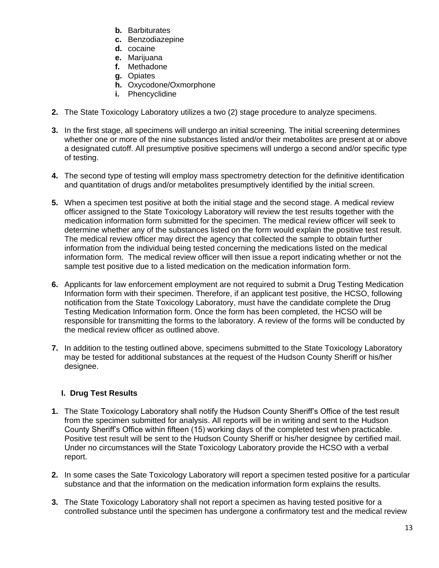- **b.** Barbiturates
- **c.** Benzodiazepine
- **d.** cocaine
- **e.** Marijuana
- **f.** Methadone
- **g.** Opiates
- **h.** Oxycodone/Oxmorphone
- **i.** Phencyclidine
- **2.** The State Toxicology Laboratory utilizes a two (2) stage procedure to analyze specimens.
- **3.** In the first stage, all specimens will undergo an initial screening. The initial screening determines whether one or more of the nine substances listed and/or their metabolites are present at or above a designated cutoff. All presumptive positive specimens will undergo a second and/or specific type of testing.
- **4.** The second type of testing will employ mass spectrometry detection for the definitive identification and quantitation of drugs and/or metabolites presumptively identified by the initial screen.
- **5.** When a specimen test positive at both the initial stage and the second stage. A medical review officer assigned to the State Toxicology Laboratory will review the test results together with the medication information form submitted for the specimen. The medical review officer will seek to determine whether any of the substances listed on the form would explain the positive test result. The medical review officer may direct the agency that collected the sample to obtain further information from the individual being tested concerning the medications listed on the medical information form. The medical review officer will then issue a report indicating whether or not the sample test positive due to a listed medication on the medication information form.
- **6.** Applicants for law enforcement employment are not required to submit a Drug Testing Medication Information form with their specimen. Therefore, if an applicant test positive, the HCSO, following notification from the State Toxicology Laboratory, must have the candidate complete the Drug Testing Medication Information form. Once the form has been completed, the HCSO will be responsible for transmitting the forms to the laboratory. A review of the forms will be conducted by the medical review officer as outlined above.
- **7.** In addition to the testing outlined above, specimens submitted to the State Toxicology Laboratory may be tested for additional substances at the request of the Hudson County Sheriff or his/her designee.

# **I. Drug Test Results**

- **1.** The State Toxicology Laboratory shall notify the Hudson County Sheriff's Office of the test result from the specimen submitted for analysis. All reports will be in writing and sent to the Hudson County Sheriff's Office within fifteen (15) working days of the completed test when practicable. Positive test result will be sent to the Hudson County Sheriff or his/her designee by certified mail. Under no circumstances will the State Toxicology Laboratory provide the HCSO with a verbal report.
- **2.** In some cases the Sate Toxicology Laboratory will report a specimen tested positive for a particular substance and that the information on the medication information form explains the results.
- **3.** The State Toxicology Laboratory shall not report a specimen as having tested positive for a controlled substance until the specimen has undergone a confirmatory test and the medical review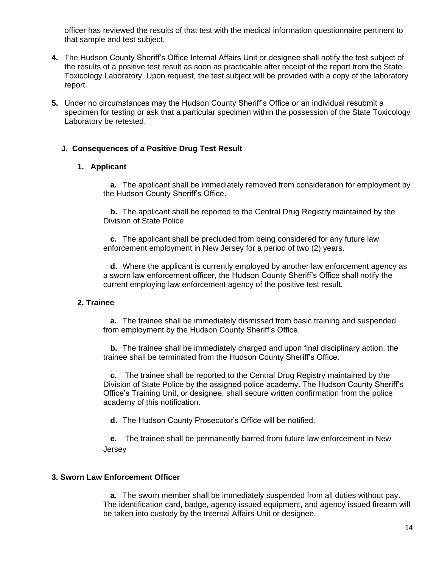officer has reviewed the results of that test with the medical information questionnaire pertinent to that sample and test subject.

- **4.** The Hudson County Sheriff's Office Internal Affairs Unit or designee shall notify the test subject of the results of a positive test result as soon as practicable after receipt of the report from the State Toxicology Laboratory. Upon request, the test subject will be provided with a copy of the laboratory report.
- **5.** Under no circumstances may the Hudson County Sheriff's Office or an individual resubmit a specimen for testing or ask that a particular specimen within the possession of the State Toxicology Laboratory be retested.

## **J. Consequences of a Positive Drug Test Result**

### **1. Applicant**

**a.** The applicant shall be immediately removed from consideration for employment by the Hudson County Sheriff's Office.

**b.** The applicant shall be reported to the Central Drug Registry maintained by the Division of State Police

**c.** The applicant shall be precluded from being considered for any future law enforcement employment in New Jersey for a period of two (2) years.

**d.** Where the applicant is currently employed by another law enforcement agency as a sworn law enforcement officer, the Hudson County Sheriff's Office shall notify the current employing law enforcement agency of the positive test result.

#### **2. Trainee**

**a.** The trainee shall be immediately dismissed from basic training and suspended from employment by the Hudson County Sheriff's Office.

**b.** The trainee shall be immediately charged and upon final disciplinary action, the trainee shall be terminated from the Hudson County Sheriff's Office.

**c.** The trainee shall be reported to the Central Drug Registry maintained by the Division of State Police by the assigned police academy. The Hudson County Sheriff's Office's Training Unit, or designee, shall secure written confirmation from the police academy of this notification.

**d.** The Hudson County Prosecutor's Office will be notified.

**e.** The trainee shall be permanently barred from future law enforcement in New Jersey

#### **3. Sworn Law Enforcement Officer**

**a.** The sworn member shall be immediately suspended from all duties without pay. The identification card, badge, agency issued equipment, and agency issued firearm will be taken into custody by the Internal Affairs Unit or designee.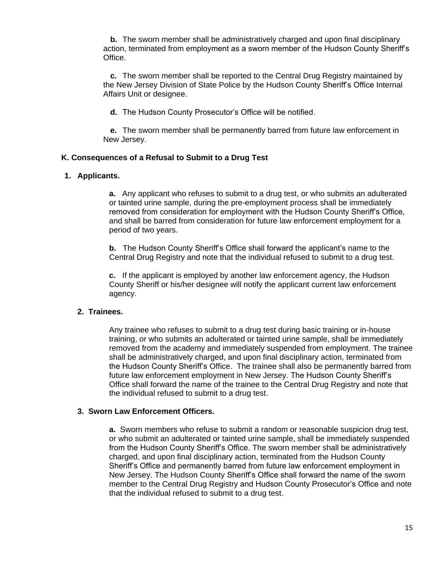**b.** The sworn member shall be administratively charged and upon final disciplinary action, terminated from employment as a sworn member of the Hudson County Sheriff's Office.

**c.** The sworn member shall be reported to the Central Drug Registry maintained by the New Jersey Division of State Police by the Hudson County Sheriff's Office Internal Affairs Unit or designee.

**d.** The Hudson County Prosecutor's Office will be notified.

**e.** The sworn member shall be permanently barred from future law enforcement in New Jersey.

## **K. Consequences of a Refusal to Submit to a Drug Test**

## **1. Applicants.**

**a.** Any applicant who refuses to submit to a drug test, or who submits an adulterated or tainted urine sample, during the pre-employment process shall be immediately removed from consideration for employment with the Hudson County Sheriff's Office, and shall be barred from consideration for future law enforcement employment for a period of two years.

**b.** The Hudson County Sheriff's Office shall forward the applicant's name to the Central Drug Registry and note that the individual refused to submit to a drug test.

**c.** If the applicant is employed by another law enforcement agency, the Hudson County Sheriff or his/her designee will notify the applicant current law enforcement agency.

## **2. Trainees.**

Any trainee who refuses to submit to a drug test during basic training or in-house training, or who submits an adulterated or tainted urine sample, shall be immediately removed from the academy and immediately suspended from employment. The trainee shall be administratively charged, and upon final disciplinary action, terminated from the Hudson County Sheriff's Office. The trainee shall also be permanently barred from future law enforcement employment in New Jersey. The Hudson County Sheriff's Office shall forward the name of the trainee to the Central Drug Registry and note that the individual refused to submit to a drug test.

## **3. Sworn Law Enforcement Officers.**

**a.** Sworn members who refuse to submit a random or reasonable suspicion drug test, or who submit an adulterated or tainted urine sample, shall be immediately suspended from the Hudson County Sheriff's Office. The sworn member shall be administratively charged, and upon final disciplinary action, terminated from the Hudson County Sheriff's Office and permanently barred from future law enforcement employment in New Jersey. The Hudson County Sheriff's Office shall forward the name of the sworn member to the Central Drug Registry and Hudson County Prosecutor's Office and note that the individual refused to submit to a drug test.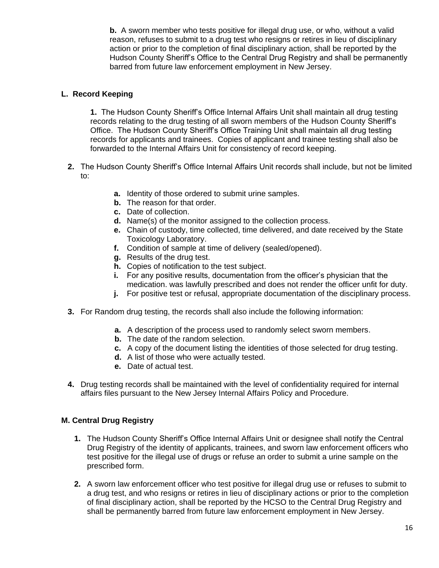**b.** A sworn member who tests positive for illegal drug use, or who, without a valid reason, refuses to submit to a drug test who resigns or retires in lieu of disciplinary action or prior to the completion of final disciplinary action, shall be reported by the Hudson County Sheriff's Office to the Central Drug Registry and shall be permanently barred from future law enforcement employment in New Jersey.

## **L. Record Keeping**

**1.** The Hudson County Sheriff's Office Internal Affairs Unit shall maintain all drug testing records relating to the drug testing of all sworn members of the Hudson County Sheriff's Office. The Hudson County Sheriff's Office Training Unit shall maintain all drug testing records for applicants and trainees. Copies of applicant and trainee testing shall also be forwarded to the Internal Affairs Unit for consistency of record keeping.

- **2.** The Hudson County Sheriff's Office Internal Affairs Unit records shall include, but not be limited to:
	- **a.** Identity of those ordered to submit urine samples.
	- **b.** The reason for that order.
	- **c.** Date of collection.
	- **d.** Name(s) of the monitor assigned to the collection process.
	- **e.** Chain of custody, time collected, time delivered, and date received by the State Toxicology Laboratory.
	- **f.** Condition of sample at time of delivery (sealed/opened).
	- **g.** Results of the drug test.
	- **h.** Copies of notification to the test subject.
	- **i.** For any positive results, documentation from the officer's physician that the medication. was lawfully prescribed and does not render the officer unfit for duty.
	- **j.** For positive test or refusal, appropriate documentation of the disciplinary process.
- **3.** For Random drug testing, the records shall also include the following information:
	- **a.** A description of the process used to randomly select sworn members.
	- **b.** The date of the random selection.
	- **c.** A copy of the document listing the identities of those selected for drug testing.
	- **d.** A list of those who were actually tested.
	- **e.** Date of actual test.
- **4.** Drug testing records shall be maintained with the level of confidentiality required for internal affairs files pursuant to the New Jersey Internal Affairs Policy and Procedure.

## **M. Central Drug Registry**

- **1.** The Hudson County Sheriff's Office Internal Affairs Unit or designee shall notify the Central Drug Registry of the identity of applicants, trainees, and sworn law enforcement officers who test positive for the illegal use of drugs or refuse an order to submit a urine sample on the prescribed form.
- **2.** A sworn law enforcement officer who test positive for illegal drug use or refuses to submit to a drug test, and who resigns or retires in lieu of disciplinary actions or prior to the completion of final disciplinary action, shall be reported by the HCSO to the Central Drug Registry and shall be permanently barred from future law enforcement employment in New Jersey.